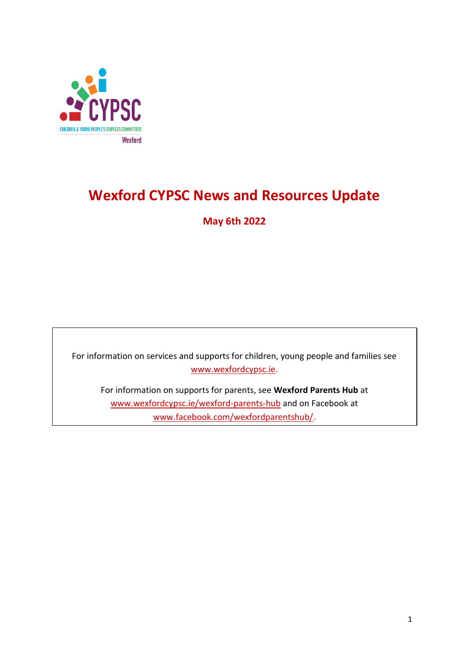

## **Wexford CYPSC News and Resources Update**

**May 6th 2022**

For information on services and supports for children, young people and families see [www.wexfordcypsc.ie.](http://www.wexfordcypsc.ie/)

For information on supports for parents, see **Wexford Parents Hub** at [www.wexfordcypsc.ie/wexford-parents-hub](http://www.wexfordcypsc.ie/wexford-parents-hub) and on Facebook at [www.facebook.com/wexfordparentshub/.](https://www.facebook.com/wexfordparentshub/)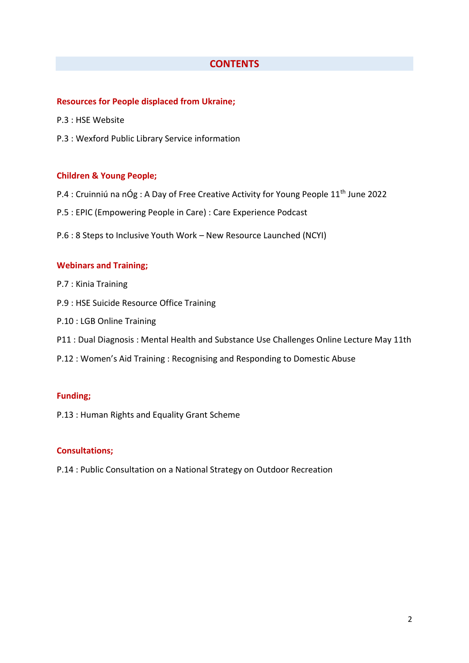## **CONTENTS**

### **Resources for People displaced from Ukraine;**

- P.3 : HSE Website
- P.3 : Wexford Public Library Service information

### **Children & Young People;**

- P.4 : Cruinniú na nÓg : A Day of Free Creative Activity for Young People 11<sup>th</sup> June 2022
- P.5 : EPIC (Empowering People in Care) : Care Experience Podcast
- P.6 : 8 Steps to Inclusive Youth Work New Resource Launched (NCYI)

### **Webinars and Training;**

- P.7 : Kinia Training
- P.9 : HSE Suicide Resource Office Training
- P.10 : LGB Online Training
- P11 : Dual Diagnosis : Mental Health and Substance Use Challenges Online Lecture May 11th
- P.12 : Women's Aid Training : Recognising and Responding to Domestic Abuse

#### **Funding;**

P.13 : Human Rights and Equality Grant Scheme

### **Consultations;**

P.14 : Public Consultation on a National Strategy on Outdoor Recreation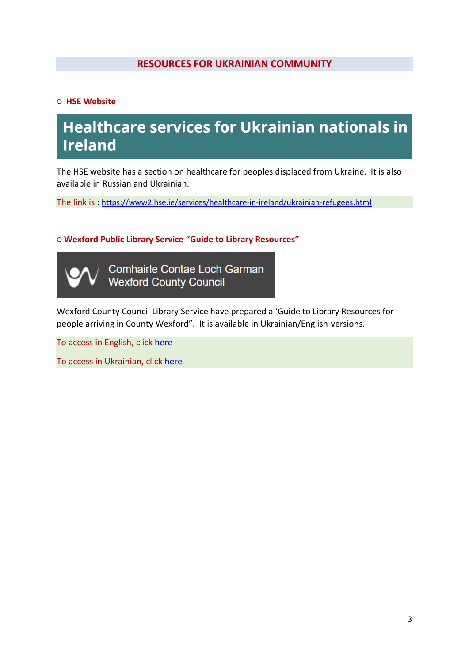## **RESOURCES FOR UKRAINIAN COMMUNITY**

**○ HSE Website**

# **Healthcare services for Ukrainian nationals in Ireland**

The HSE website has a section on healthcare for peoples displaced from Ukraine. It is also available in Russian and Ukrainian.

The link is : [https://www2.hse.ie/services/healthcare-in-ireland/ukrainian-refugees.html](https://scanner.topsec.com/?d=2304&r=show&t=2df8eaf7445e12419c471a0f5108cf69158ee4a6&u=https%3A%2F%2Fwww2.hse.ie%2Fservices%2Fhealthcare-in-ireland%2Fukrainian-refugees.html) 

**○ Wexford Public Library Service "Guide to Library Resources"**

Comhairle Contae Loch Garman **Wexford County Council** 

Wexford County Council Library Service have prepared a 'Guide to Library Resources for people arriving in County Wexford". It is available in Ukrainian/English versions.

To access in English, click [here](http://www.wexfordcypsc.ie/sites/default/files/content/Wexford%20Libraries%20Resources%20for%20people%20arriving%20in%20County%20Wexford%20English%20version.pdf)

To access in Ukrainian, click [here](http://www.wexfordcypsc.ie/sites/default/files/content/Wexford%20Libraries%20Resources%20for%20people%20arriving%20_Ukrainian%20version_.pdf)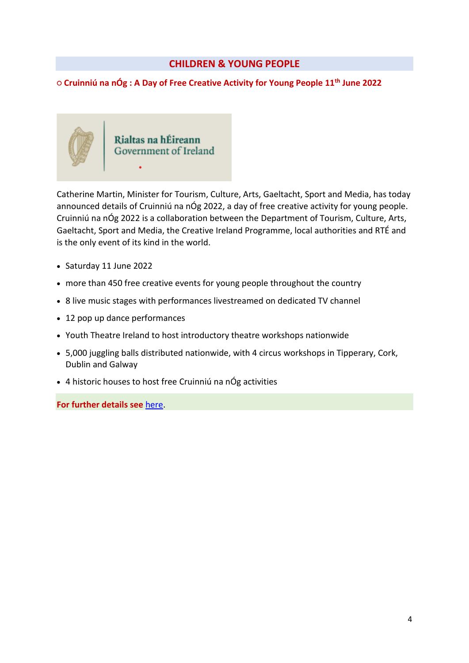## **CHILDREN & YOUNG PEOPLE**

## **○ Cruinniú na nÓg : A Day of Free Creative Activity for Young People 11th June 2022**



Catherine Martin, Minister for Tourism, Culture, Arts, Gaeltacht, Sport and Media, has today announced details of Cruinniú na nÓg 2022, a day of free creative activity for young people. Cruinniú na nÓg 2022 is a collaboration between the Department of Tourism, Culture, Arts, Gaeltacht, Sport and Media, the Creative Ireland Programme, local authorities and RTÉ and is the only event of its kind in the world.

- Saturday 11 June 2022
- more than 450 free creative events for young people throughout the country
- 8 live music stages with performances livestreamed on dedicated TV channel
- 12 pop up dance performances
- Youth Theatre Ireland to host introductory theatre workshops nationwide
- 5,000 juggling balls distributed nationwide, with 4 circus workshops in Tipperary, Cork, Dublin and Galway
- 4 historic houses to host free Cruinniú na nÓg activities

**For further details see** [here.](https://www.gov.ie/en/press-release/20c69-cruinniu-na-nog-2022-a-day-of-free-creative-activity-for-young-people-saturday-11th-june-2022/)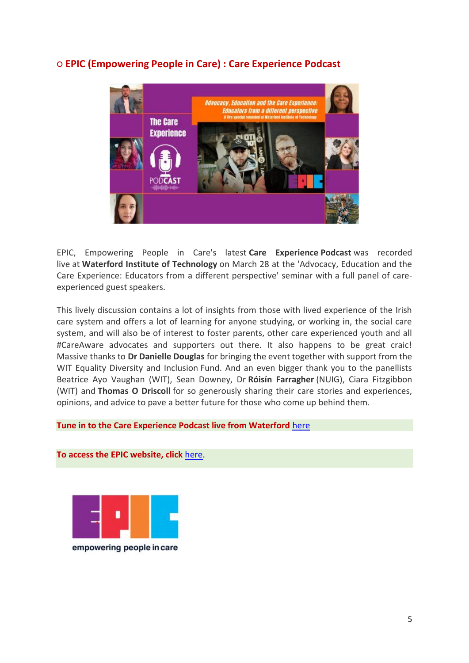

## **○ EPIC (Empowering People in Care) : Care Experience Podcast**

EPIC, Empowering People in Care's latest **[Care Experience](https://thecareexperience.libsyn.com/the-care-experience-episode-35) Podcast** was recorded live at **[Waterford Institute of Technology](https://www.linkedin.com/company/waterford-institute-of-technology/)** on March 28 at the 'Advocacy, Education and the Care Experience: Educators from a different perspective' seminar with a full panel of careexperienced guest speakers.

This lively discussion contains a lot of insights from those with lived experience of the Irish care system and offers a lot of learning for anyone studying, or working in, the social care system, and will also be of interest to foster parents, other care experienced youth and all #CareAware advocates and supporters out there. It also happens to be great craic! Massive thanks to **[Dr Danielle Douglas](https://www.linkedin.com/in/ACoAABSxRWsBJCaQQh4hJB-BsesOaAEZjJuz9PM)** for bringing the event together with support from the WIT Equality Diversity and Inclusion Fund. And an even bigger thank you to the panellists Beatrice Ayo Vaughan (WIT), Sean Downey, Dr **[Róisín Fa](https://www.linkedin.com/in/ACoAACFQ4hEBJVTQu251MNg892J3lIfUft-uZaY)rragher** (NUIG), Ciara Fitzgibbon (WIT) and **[Thomas O Driscoll](https://www.linkedin.com/in/ACoAAAxNUrUBBlFsMsTpCVueTVgOvDFt5Op4diQ)** for so generously sharing their care stories and experiences, opinions, and advice to pave a better future for those who come up behind them.

## **[Tune in to the Care Experience Podcast live from Waterford](https://thecareexperience.libsyn.com/the-care-experience-episode-35)** [here](https://thecareexperience.libsyn.com/the-care-experience-episode-35)



**To access the EPIC website, click** [here.](https://www.epiconline.ie/)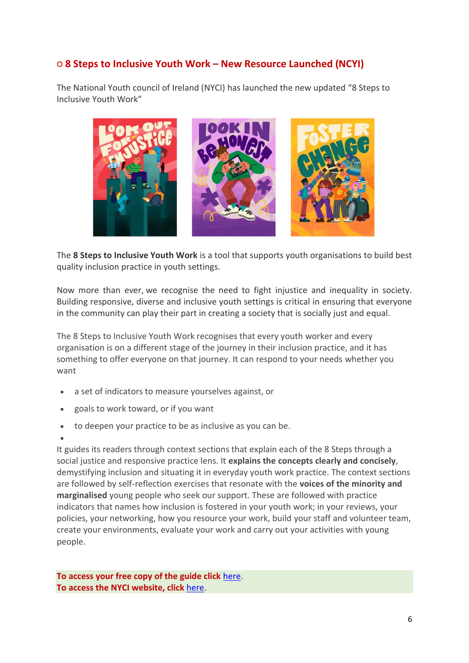## **○ 8 Steps to Inclusive Youth Work – New Resource Launched (NCYI)**

The National Youth council of Ireland (NYCI) has launched the new updated "8 Steps to Inclusive Youth Work"



The **8 Steps to Inclusive Youth Work** is a tool that supports youth organisations to build best quality inclusion practice in youth settings.

Now more than ever, we recognise the need to fight injustice and inequality in society. Building responsive, diverse and inclusive youth settings is critical in ensuring that everyone in the community can play their part in creating a society that is socially just and equal.

The 8 Steps to Inclusive Youth Work recognises that every youth worker and every organisation is on a different stage of the journey in their inclusion practice, and it has something to offer everyone on that journey. It can respond to your needs whether you want

- a set of indicators to measure yourselves against, or
- goals to work toward, or if you want
- to deepen your practice to be as inclusive as you can be.
- $\bullet$

It guides its readers through context sections that explain each of the 8 Steps through a social justice and responsive practice lens. It **explains the concepts clearly and concisely**, demystifying inclusion and situating it in everyday youth work practice. The context sections are followed by self-reflection exercises that resonate with the **voices of the minority and marginalised** young people who seek our support. These are followed with practice indicators that names how inclusion is fostered in your youth work; in your reviews, your policies, your networking, how you resource your work, build your staff and volunteer team, create your environments, evaluate your work and carry out your activities with young people.

**To access your free copy of the guide click** [here.](https://www.youth.ie/articles/inclusive-youth-work-in-8-steps-resource-launched/) **To access the NYCI website, click** [here.](https://www.youth.ie/)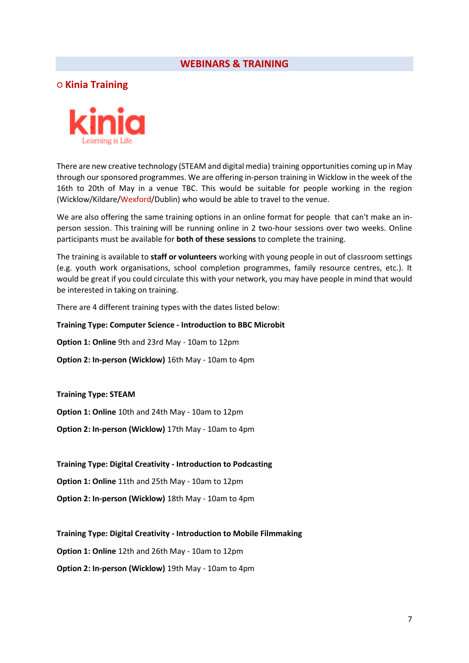## **WEBINARS & TRAINING**

**○ Kinia Training**



There are new creative technology (STEAM and digital media) training opportunities coming up in May through our sponsored programmes. We are offering in-person training in Wicklow in the week of the 16th to 20th of May in a venue TBC. This would be suitable for people working in the region (Wicklow/Kildare/Wexford/Dublin) who would be able to travel to the venue.

We are also offering the same training options in an online format for people that can't make an inperson session. This training will be running online in 2 two-hour sessions over two weeks. Online participants must be available for **both of these sessions** to complete the training.

The training is available to **staff or volunteers** working with young people in out of classroom settings (e.g. youth work organisations, school completion programmes, family resource centres, etc.). It would be great if you could circulate this with your network, you may have people in mind that would be interested in taking on training.

There are 4 different training types with the dates listed below:

#### **Training Type: Computer Science - Introduction to BBC Microbit**

**Option 1: Online** 9th and 23rd May - 10am to 12pm

**Option 2: In-person (Wicklow)** 16th May - 10am to 4pm

**Training Type: STEAM**

**Option 1: Online** 10th and 24th May - 10am to 12pm

**Option 2: In-person (Wicklow)** 17th May - 10am to 4pm

**Training Type: Digital Creativity - Introduction to Podcasting**

**Option 1: Online** 11th and 25th May - 10am to 12pm

**Option 2: In-person (Wicklow)** 18th May - 10am to 4pm

**Training Type: Digital Creativity - Introduction to Mobile Filmmaking**

**Option 1: Online** 12th and 26th May - 10am to 12pm

**Option 2: In-person (Wicklow)** 19th May - 10am to 4pm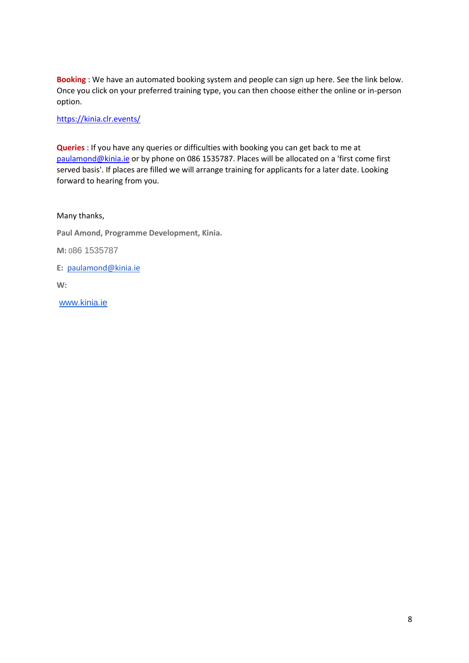**Booking** : We have an automated booking system and people can sign up here. See the link below. Once you click on your preferred training type, you can then choose either the online or in-person option.

[https://kinia.clr.events/](https://scanner.topsec.com/?d=2304&r=show&u=https%3A%2F%2Fkinia.clr.events%2F&t=3bad90a674d107eb70bbddac9677ea3121676920)

**Queries** : If you have any queries or difficulties with booking you can get back to me at [paulamond@kinia.ie](mailto:paulamond@kinia.ie) or by phone on 086 1535787. Places will be allocated on a 'first come first served basis'. If places are filled we will arrange training for applicants for a later date. Looking forward to hearing from you.

Many thanks,

**Paul Amond, Programme Development, Kinia.**

**M:** 086 1535787

**E:** [paulamond@kinia.ie](mailto:paulamond@camara.ie)

**W:**

[www.kinia.ie](https://scanner.topsec.com/?d=2304&r=show&u=http%3A%2F%2Fwww.kinia.ie%2F&t=b2c0dcbef013db5fd1ce82916af6e493815613e1)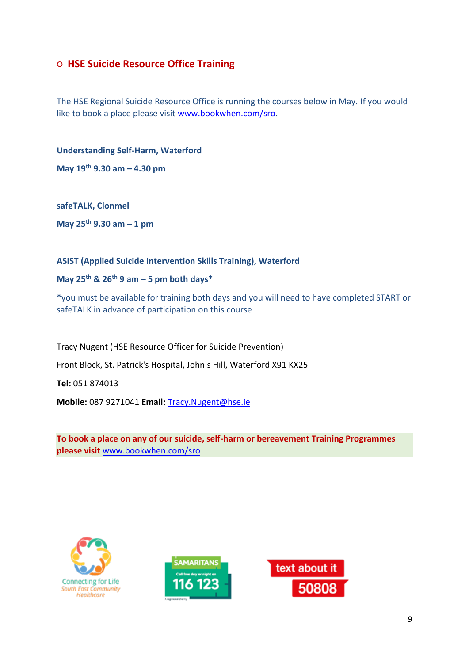## **○ HSE Suicide Resource Office Training**

The HSE Regional Suicide Resource Office is running the courses below in May. If you would like to book a place please visit [www.bookwhen.com/sro.](http://www.bookwhen.com/sro)

**Understanding Self-Harm, Waterford** 

**May 19th 9.30 am – 4.30 pm**

**safeTALK, Clonmel** 

**May 25th 9.30 am – 1 pm**

## **ASIST (Applied Suicide Intervention Skills Training), Waterford**

## **May 25th & 26th 9 am – 5 pm both days\***

\*you must be available for training both days and you will need to have completed START or safeTALK in advance of participation on this course

Tracy Nugent (HSE Resource Officer for Suicide Prevention) Front Block, St. Patrick's Hospital, John's Hill, Waterford X91 KX25 **Tel:** 051 874013 **Mobile:** 087 9271041 **Email:** [Tracy.Nugent@hse.ie](mailto:Tracy.Nugent@hse.ie)

**To book a place on any of our suicide, self-harm or bereavement Training Programmes please visit** [www.bookwhen.com/sro](http://www.bookwhen.com/sro)





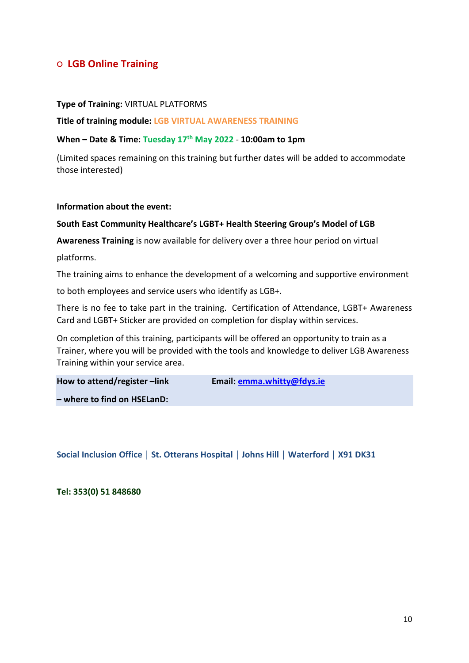## **○ LGB Online Training**

#### **Type of Training:** VIRTUAL PLATFORMS

#### **Title of training module: LGB VIRTUAL AWARENESS TRAINING**

#### **When – Date & Time: Tuesday 17th May 2022** - **10:00am to 1pm**

(Limited spaces remaining on this training but further dates will be added to accommodate those interested)

#### **Information about the event:**

#### **South East Community Healthcare's LGBT+ Health Steering Group's Model of LGB**

**Awareness Training** is now available for delivery over a three hour period on virtual

platforms.

The training aims to enhance the development of a welcoming and supportive environment

to both employees and service users who identify as LGB+.

There is no fee to take part in the training. Certification of Attendance, LGBT+ Awareness Card and LGBT+ Sticker are provided on completion for display within services.

On completion of this training, participants will be offered an opportunity to train as a Trainer, where you will be provided with the tools and knowledge to deliver LGB Awareness Training within your service area.

| How to attend/register-link | Email: emma.whitty@fdys.ie |
|-----------------------------|----------------------------|
| - where to find on HSELanD: |                            |

**Social Inclusion Office │ St. Otterans Hospital │ Johns Hill │ Waterford │ X91 DK31**

**Tel: 353(0) 51 848680**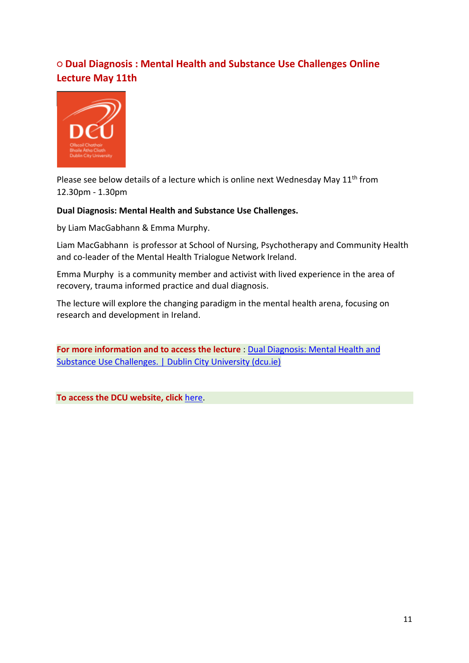## **○ Dual Diagnosis : Mental Health and Substance Use Challenges Online Lecture May 11th**



Please see below details of a lecture which is online next Wednesday May  $11<sup>th</sup>$  from 12.30pm - 1.30pm

## **Dual Diagnosis: Mental Health and Substance Use Challenges.**

by Liam MacGabhann & Emma Murphy.

Liam MacGabhann is professor at School of Nursing, Psychotherapy and Community Health and co-leader of the Mental Health Trialogue Network Ireland.

Emma Murphy is a community member and activist with lived experience in the area of recovery, trauma informed practice and dual diagnosis.

The lecture will explore the changing paradigm in the mental health arena, focusing on research and development in Ireland.

**For more information and to access the lecture** : [Dual Diagnosis: Mental Health](https://scanner.topsec.com/?t=9822bf3872f2d9f52eccd0db63b5296ceb2b57a9&u=https%3A%2F%2Fwww.dcu.ie%2Fdigitalcomms%2Fdcu-events%2F2022%2Fmay%2Fdual-diagnosis-mental-health-and-substance-use-challenges&d=2304&r=show) and [Substance Use Challenges. | Dublin City University \(dcu.ie\)](https://scanner.topsec.com/?t=9822bf3872f2d9f52eccd0db63b5296ceb2b57a9&u=https%3A%2F%2Fwww.dcu.ie%2Fdigitalcomms%2Fdcu-events%2F2022%2Fmay%2Fdual-diagnosis-mental-health-and-substance-use-challenges&d=2304&r=show)

**To access the DCU website, click** [here.](https://www.dcu.ie/digitalcomms)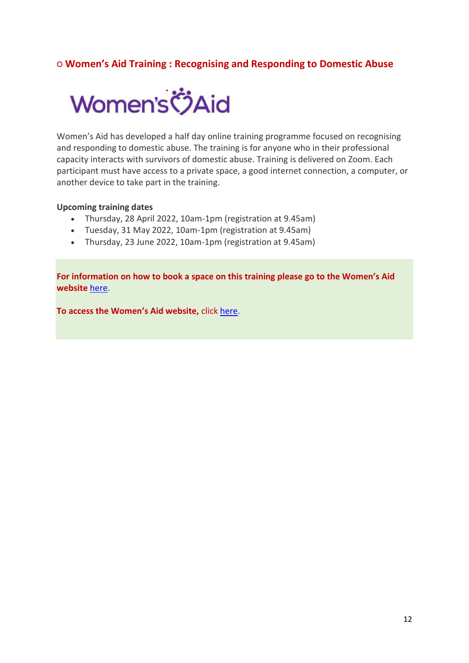## **○ Women's Aid Training : Recognising and Responding to Domestic Abuse**



Women's Aid has developed a half day online training programme focused on recognising and responding to domestic abuse. The training is for anyone who in their professional capacity interacts with survivors of domestic abuse. Training is delivered on Zoom. Each participant must have access to a private space, a good internet connection, a computer, or another device to take part in the training.

#### **Upcoming training dates**

- Thursday, 28 April 2022, 10am-1pm (registration at 9.45am)
- Tuesday, 31 May 2022, 10am-1pm (registration at 9.45am)
- Thursday, 23 June 2022, 10am-1pm (registration at 9.45am)

**For information on how to book a space on this training please go to the Women's Aid website** [here.](https://www.womensaid.ie/about/training/newsresources.html)

**To access the Women's Aid website,** click [here.](https://www.womensaid.ie/)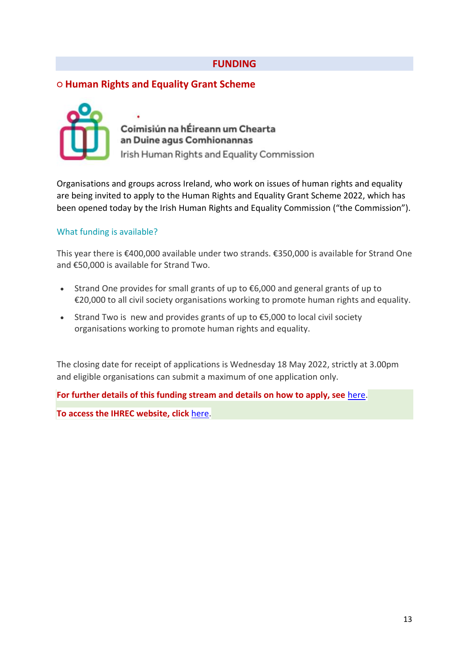## **FUNDING**

## **○ Human Rights and Equality Grant Scheme**



Coimisiún na hÉireann um Chearta an Duine agus Comhionannas Irish Human Rights and Equality Commission

Organisations and groups across Ireland, who work on issues of human rights and equality are being invited to apply to the Human Rights and Equality Grant Scheme 2022, which has been opened today by the Irish Human Rights and Equality Commission ("the Commission").

## What funding is available?

This year there is €400,000 available under two strands. €350,000 is available for Strand One and €50,000 is available for Strand Two.

- Strand One provides for small grants of up to €6,000 and general grants of up to €20,000 to all civil society organisations working to promote human rights and equality.
- Strand Two is new and provides grants of up to €5,000 to local civil society organisations working to promote human rights and equality.

The closing date for receipt of applications is Wednesday 18 May 2022, strictly at 3.00pm and eligible organisations can submit a maximum of one application only.

**For further details of this funding stream and details on how to apply, see** [here.](https://www.ihrec.ie/our-work/human-rights-and-equality-grants-scheme/)

**To access the IHREC website, click** [here.](https://www.ihrec.ie/)